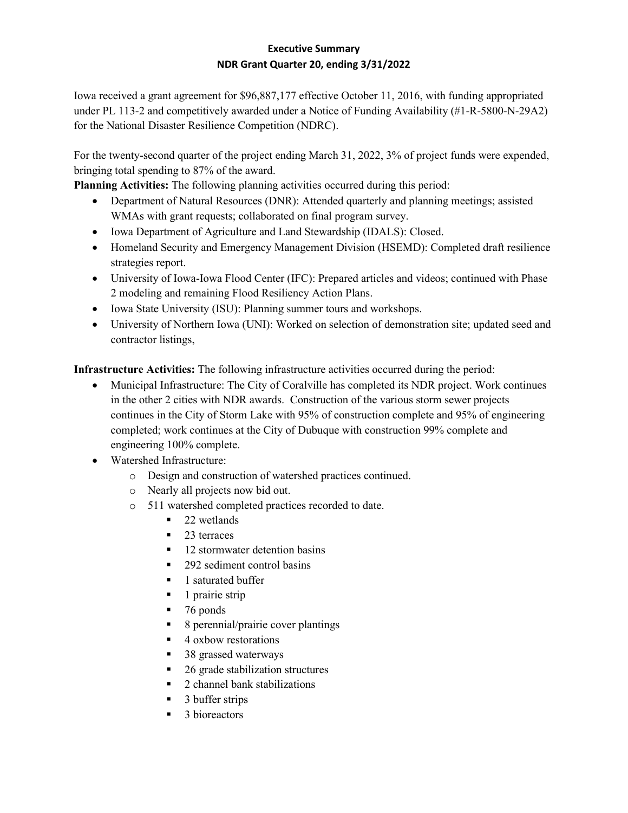## **Executive Summary NDR Grant Quarter 20, ending 3/31/2022**

Iowa received a grant agreement for \$96,887,177 effective October 11, 2016, with funding appropriated under PL 113-2 and competitively awarded under a Notice of Funding Availability (#1-R-5800-N-29A2) for the National Disaster Resilience Competition (NDRC).

For the twenty-second quarter of the project ending March 31, 2022, 3% of project funds were expended, bringing total spending to 87% of the award.

**Planning Activities:** The following planning activities occurred during this period:

- Department of Natural Resources (DNR): Attended quarterly and planning meetings; assisted WMAs with grant requests; collaborated on final program survey.
- Iowa Department of Agriculture and Land Stewardship (IDALS): Closed.
- Homeland Security and Emergency Management Division (HSEMD): Completed draft resilience strategies report.
- University of Iowa-Iowa Flood Center (IFC): Prepared articles and videos; continued with Phase 2 modeling and remaining Flood Resiliency Action Plans.
- Iowa State University (ISU): Planning summer tours and workshops.
- University of Northern Iowa (UNI): Worked on selection of demonstration site; updated seed and contractor listings,

**Infrastructure Activities:** The following infrastructure activities occurred during the period:

- Municipal Infrastructure: The City of Coralville has completed its NDR project. Work continues in the other 2 cities with NDR awards. Construction of the various storm sewer projects continues in the City of Storm Lake with 95% of construction complete and 95% of engineering completed; work continues at the City of Dubuque with construction 99% complete and engineering 100% complete.
- Watershed Infrastructure:
	- o Design and construction of watershed practices continued.
	- o Nearly all projects now bid out.
	- o 511 watershed completed practices recorded to date.
		- $\blacksquare$  22 wetlands
		- $\blacksquare$  23 terraces
		- $\blacksquare$  12 stormwater detention basins
		- 292 sediment control basins
		- 1 saturated buffer
		- $\blacksquare$  1 prairie strip
		- $-76$  ponds
		- 8 perennial/prairie cover plantings
		- 4 oxbow restorations
		- 38 grassed waterways
		- 26 grade stabilization structures
		- 2 channel bank stabilizations
		- $\blacksquare$  3 buffer strips
		- $\blacksquare$  3 bioreactors